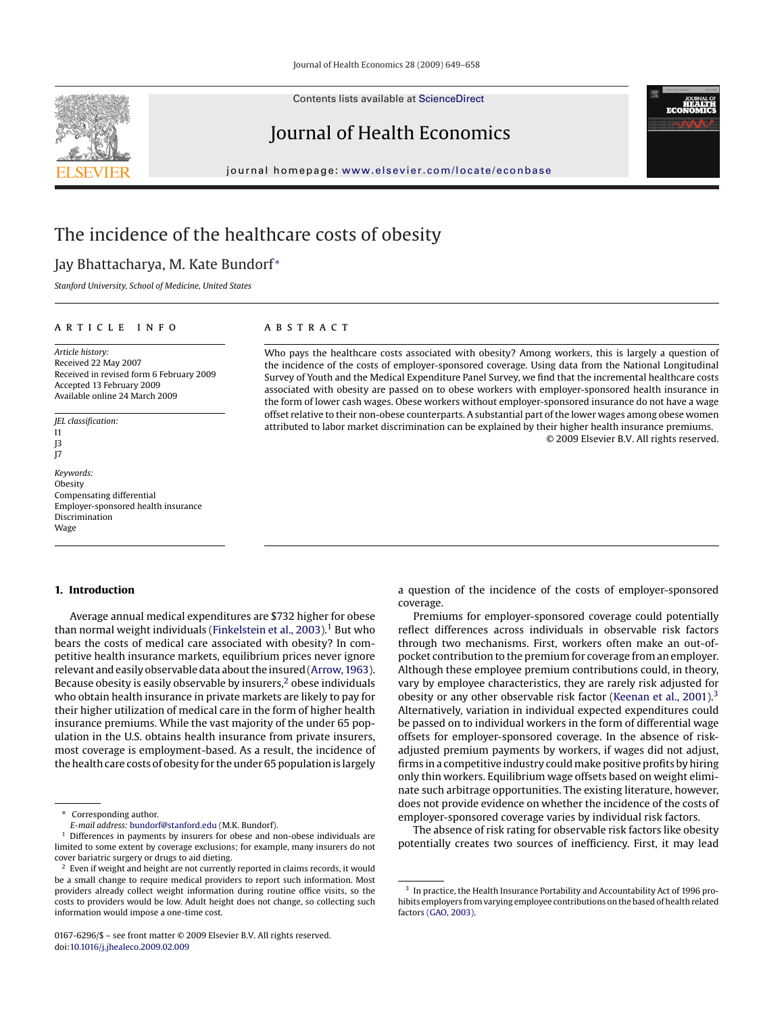Contents lists available at [ScienceDirect](http://www.sciencedirect.com/science/journal/01676296)

## Journal of Health Economics

journal homepage: [www.elsevier.com/locate/econbase](http://www.elsevier.com/locate/econbase)

# The incidence of the healthcare costs of obesity

## Jay Bhattacharya, M. Kate Bundorf <sup>∗</sup>

*Stanford University, School of Medicine, United States*

## article info

*Article history:* Received 22 May 2007 Received in revised form 6 February 2009 Accepted 13 February 2009 Available online 24 March 2009

*JEL classification:* I1 J3 J7 *Keywords:* Obesity Compensating differential Employer-sponsored health insurance Discrimination Wage

## **ABSTRACT**

Who pays the healthcare costs associated with obesity? Among workers, this is largely a question of the incidence of the costs of employer-sponsored coverage. Using data from the National Longitudinal Survey of Youth and the Medical Expenditure Panel Survey, we find that the incremental healthcare costs associated with obesity are passed on to obese workers with employer-sponsored health insurance in the form of lower cash wages. Obese workers without employer-sponsored insurance do not have a wage offset relative to their non-obese counterparts. A substantial part of the lower wages among obese women attributed to labor market discrimination can be explained by their higher health insurance premiums. © 2009 Elsevier B.V. All rights reserved.

### **1. Introduction**

Average annual medical expenditures are \$732 higher for obese than normal weight individuals ([Finkelstein et al., 2003\).](#page-9-0)<sup>1</sup> But who bears the costs of medical care associated with obesity? In competitive health insurance markets, equilibrium prices never ignore relevant and easily observable data about the insured ([Arrow, 1963\).](#page-9-0) Because obesity is easily observable by insurers, $2$  obese individuals who obtain health insurance in private markets are likely to pay for their higher utilization of medical care in the form of higher health insurance premiums. While the vast majority of the under 65 population in the U.S. obtains health insurance from private insurers, most coverage is employment-based. As a result, the incidence of the health care costs of obesity for the under 65 population is largely

Corresponding author.

0167-6296/\$ – see front matter © 2009 Elsevier B.V. All rights reserved. doi:[10.1016/j.jhealeco.2009.02.009](dx.doi.org/10.1016/j.jhealeco.2009.02.009)

a question of the incidence of the costs of employer-sponsored coverage.

Premiums for employer-sponsored coverage could potentially reflect differences across individuals in observable risk factors through two mechanisms. First, workers often make an out-ofpocket contribution to the premium for coverage from an employer. Although these employee premium contributions could, in theory, vary by employee characteristics, they are rarely risk adjusted for obesity or any other observable risk factor (Keenan et al., 2001).<sup>3</sup> Alternatively, variation in individual expected expenditures could be passed on to individual workers in the form of differential wage offsets for employer-sponsored coverage. In the absence of riskadjusted premium payments by workers, if wages did not adjust, firms in a competitive industry could make positive profits by hiring only thin workers. Equilibrium wage offsets based on weight eliminate such arbitrage opportunities. The existing literature, however, does not provide evidence on whether the incidence of the costs of employer-sponsored coverage varies by individual risk factors.

The absence of risk rating for observable risk factors like obesity potentially creates two sources of inefficiency. First, it may lead



*E-mail address:* [bundorf@stanford.edu](mailto:bundorf@stanford.edu) (M.K. Bundorf).

<sup>&</sup>lt;sup>1</sup> Differences in payments by insurers for obese and non-obese individuals are limited to some extent by coverage exclusions; for example, many insurers do not cover bariatric surgery or drugs to aid dieting.

<sup>&</sup>lt;sup>2</sup> Even if weight and height are not currently reported in claims records, it would be a small change to require medical providers to report such information. Most providers already collect weight information during routine office visits, so the costs to providers would be low. Adult height does not change, so collecting such information would impose a one-time cost.

<sup>3</sup> In practice, the Health Insurance Portability and Accountability Act of 1996 prohibits employers from varying employee contributions on the based of health related factors [\(GAO, 2003\).](#page-9-0)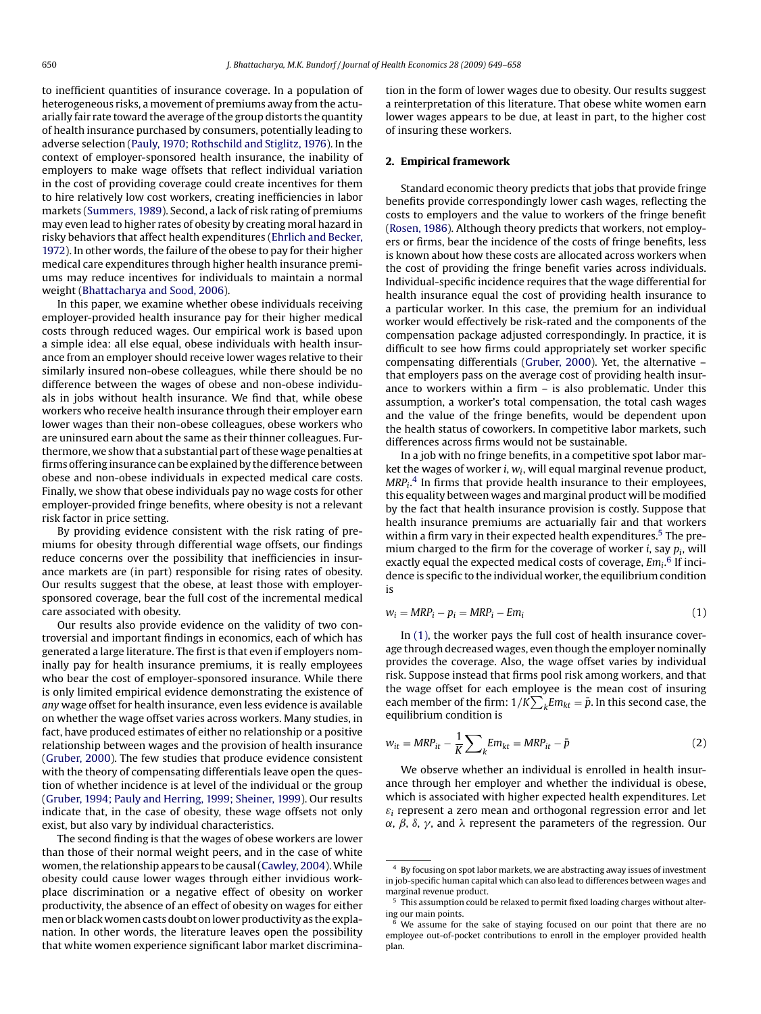<span id="page-1-0"></span>to inefficient quantities of insurance coverage. In a population of heterogeneous risks, a movement of premiums away from the actuarially fair rate toward the average of the group distorts the quantity of health insurance purchased by consumers, potentially leading to adverse selection ([Pauly, 1970; Rothschild and Stiglitz, 1976\).](#page-9-0) In the context of employer-sponsored health insurance, the inability of employers to make wage offsets that reflect individual variation in the cost of providing coverage could create incentives for them to hire relatively low cost workers, creating inefficiencies in labor markets [\(Summers, 1989\).](#page-9-0) Second, a lack of risk rating of premiums may even lead to higher rates of obesity by creating moral hazard in risky behaviors that affect health expenditures ([Ehrlich and Becker,](#page-9-0) [1972\).](#page-9-0) In other words, the failure of the obese to pay for their higher medical care expenditures through higher health insurance premiums may reduce incentives for individuals to maintain a normal weight [\(Bhattacharya and Sood, 2006\).](#page-9-0)

In this paper, we examine whether obese individuals receiving employer-provided health insurance pay for their higher medical costs through reduced wages. Our empirical work is based upon a simple idea: all else equal, obese individuals with health insurance from an employer should receive lower wages relative to their similarly insured non-obese colleagues, while there should be no difference between the wages of obese and non-obese individuals in jobs without health insurance. We find that, while obese workers who receive health insurance through their employer earn lower wages than their non-obese colleagues, obese workers who are uninsured earn about the same as their thinner colleagues. Furthermore, we show that a substantial part of these wage penalties at firms offering insurance can be explained by the difference between obese and non-obese individuals in expected medical care costs. Finally, we show that obese individuals pay no wage costs for other employer-provided fringe benefits, where obesity is not a relevant risk factor in price setting.

By providing evidence consistent with the risk rating of premiums for obesity through differential wage offsets, our findings reduce concerns over the possibility that inefficiencies in insurance markets are (in part) responsible for rising rates of obesity. Our results suggest that the obese, at least those with employersponsored coverage, bear the full cost of the incremental medical care associated with obesity.

Our results also provide evidence on the validity of two controversial and important findings in economics, each of which has generated a large literature. The first is that even if employers nominally pay for health insurance premiums, it is really employees who bear the cost of employer-sponsored insurance. While there is only limited empirical evidence demonstrating the existence of *any* wage offset for health insurance, even less evidence is available on whether the wage offset varies across workers. Many studies, in fact, have produced estimates of either no relationship or a positive relationship between wages and the provision of health insurance ([Gruber, 2000\).](#page-9-0) The few studies that produce evidence consistent with the theory of compensating differentials leave open the question of whether incidence is at level of the individual or the group ([Gruber, 1994; Pauly and Herring, 1999; Sheiner, 1999\).](#page-9-0) Our results indicate that, in the case of obesity, these wage offsets not only exist, but also vary by individual characteristics.

The second finding is that the wages of obese workers are lower than those of their normal weight peers, and in the case of white women, the relationship appears to be causal ([Cawley, 2004\).](#page-9-0)While obesity could cause lower wages through either invidious workplace discrimination or a negative effect of obesity on worker productivity, the absence of an effect of obesity on wages for either men or black women casts doubt on lower productivity as the explanation. In other words, the literature leaves open the possibility that white women experience significant labor market discrimination in the form of lower wages due to obesity. Our results suggest a reinterpretation of this literature. That obese white women earn lower wages appears to be due, at least in part, to the higher cost of insuring these workers.

## **2. Empirical framework**

Standard economic theory predicts that jobs that provide fringe benefits provide correspondingly lower cash wages, reflecting the costs to employers and the value to workers of the fringe benefit ([Rosen, 1986\).](#page-9-0) Although theory predicts that workers, not employers or firms, bear the incidence of the costs of fringe benefits, less is known about how these costs are allocated across workers when the cost of providing the fringe benefit varies across individuals. Individual-specific incidence requires that the wage differential for health insurance equal the cost of providing health insurance to a particular worker. In this case, the premium for an individual worker would effectively be risk-rated and the components of the compensation package adjusted correspondingly. In practice, it is difficult to see how firms could appropriately set worker specific compensating differentials [\(Gruber, 2000\).](#page-9-0) Yet, the alternative – that employers pass on the average cost of providing health insurance to workers within a firm – is also problematic. Under this assumption, a worker's total compensation, the total cash wages and the value of the fringe benefits, would be dependent upon the health status of coworkers. In competitive labor markets, such differences across firms would not be sustainable.

In a job with no fringe benefits, in a competitive spot labor market the wages of worker *i*, wi, will equal marginal revenue product, *MRPi*. <sup>4</sup> In firms that provide health insurance to their employees, this equality between wages and marginal product will be modified by the fact that health insurance provision is costly. Suppose that health insurance premiums are actuarially fair and that workers within a firm vary in their expected health expenditures.<sup>5</sup> The premium charged to the firm for the coverage of worker *i*, say *pi*, will exactly equal the expected medical costs of coverage, *Em*<sub>i</sub>.<sup>6</sup> If incidence is specific to the individual worker, the equilibrium condition is

$$
w_i = MRP_i - p_i = MRP_i - Em_i \tag{1}
$$

In (1), the worker pays the full cost of health insurance coverage through decreased wages, even though the employer nominally provides the coverage. Also, the wage offset varies by individual risk. Suppose instead that firms pool risk among workers, and that the wage offset for each employee is the mean cost of insuring each member of the firm:  $1/K\sum_{k} Em_{kt} = \bar{p}$ . In this second case, the equilibrium condition is

$$
w_{it} = MRP_{it} - \frac{1}{K} \sum_{k} Em_{kt} = MRP_{it} - \bar{p}
$$
 (2)

We observe whether an individual is enrolled in health insurance through her employer and whether the individual is obese, which is associated with higher expected health expenditures. Let  $\varepsilon_i$  represent a zero mean and orthogonal regression error and let  $\alpha$ ,  $\beta$ ,  $\delta$ ,  $\gamma$ , and  $\lambda$  represent the parameters of the regression. Our

<sup>4</sup> By focusing on spot labor markets, we are abstracting away issues of investment in job-specific human capital which can also lead to differences between wages and marginal revenue product.

<sup>5</sup> This assumption could be relaxed to permit fixed loading charges without altering our main points.

<sup>&</sup>lt;sup>6</sup> We assume for the sake of staying focused on our point that there are no employee out-of-pocket contributions to enroll in the employer provided health plan.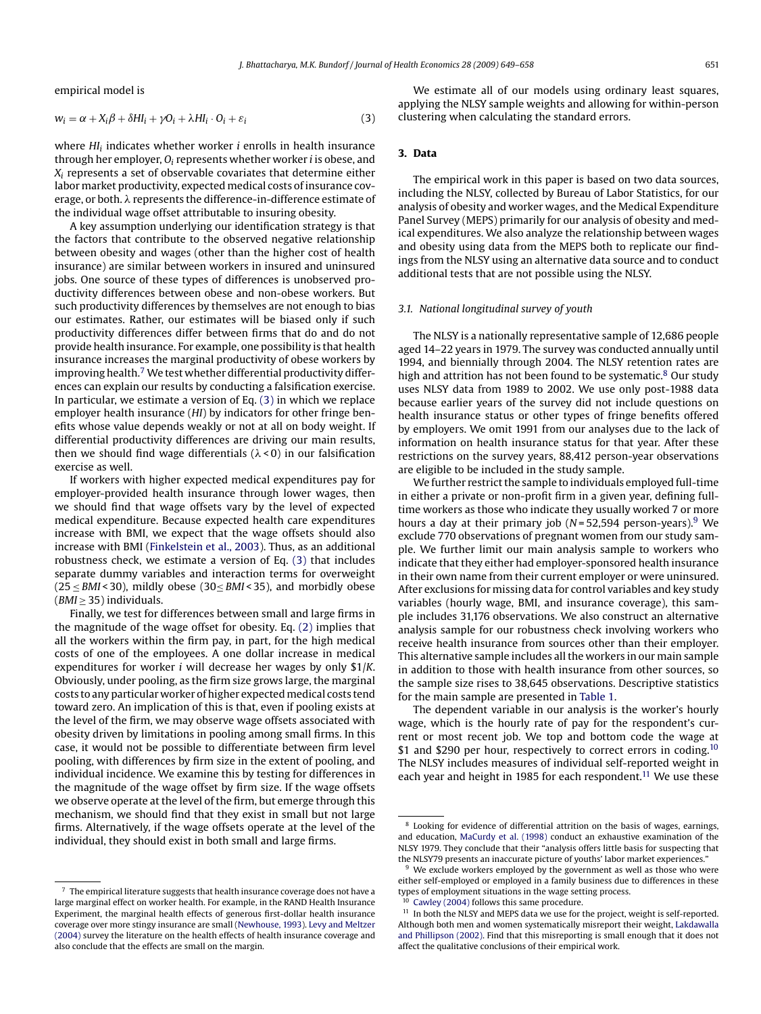empirical model is

$$
w_i = \alpha + X_i \beta + \delta H I_i + \gamma O_i + \lambda H I_i \cdot O_i + \varepsilon_i
$$
\n(3)

where *HIi* indicates whether worker *i* enrolls in health insurance through her employer, *Oi* represents whether worker *i* is obese, and *Xi* represents a set of observable covariates that determine either labor market productivity, expected medical costs of insurance coverage, or both.  $\lambda$  represents the difference-in-difference estimate of the individual wage offset attributable to insuring obesity.

A key assumption underlying our identification strategy is that the factors that contribute to the observed negative relationship between obesity and wages (other than the higher cost of health insurance) are similar between workers in insured and uninsured jobs. One source of these types of differences is unobserved productivity differences between obese and non-obese workers. But such productivity differences by themselves are not enough to bias our estimates. Rather, our estimates will be biased only if such productivity differences differ between firms that do and do not provide health insurance. For example, one possibility is that health insurance increases the marginal productivity of obese workers by improving health. $7$  We test whether differential productivity differences can explain our results by conducting a falsification exercise. In particular, we estimate a version of Eq. (3) in which we replace employer health insurance (*HI*) by indicators for other fringe benefits whose value depends weakly or not at all on body weight. If differential productivity differences are driving our main results, then we should find wage differentials  $(\lambda < 0)$  in our falsification exercise as well.

If workers with higher expected medical expenditures pay for employer-provided health insurance through lower wages, then we should find that wage offsets vary by the level of expected medical expenditure. Because expected health care expenditures increase with BMI, we expect that the wage offsets should also increase with BMI [\(Finkelstein et al., 2003\).](#page-9-0) Thus, as an additional robustness check, we estimate a version of Eq. (3) that includes separate dummy variables and interaction terms for overweight  $(25 \leq BMI \leq 30)$ , mildly obese  $(30 \leq BMI \leq 35)$ , and morbidly obese  $(BMI \geq 35)$  individuals.

Finally, we test for differences between small and large firms in the magnitude of the wage offset for obesity. Eq. [\(2\)](#page-1-0) implies that all the workers within the firm pay, in part, for the high medical costs of one of the employees. A one dollar increase in medical expenditures for worker *i* will decrease her wages by only \$1/*K*. Obviously, under pooling, as the firm size grows large, the marginal costs to any particular worker of higher expectedmedical costs tend toward zero. An implication of this is that, even if pooling exists at the level of the firm, we may observe wage offsets associated with obesity driven by limitations in pooling among small firms. In this case, it would not be possible to differentiate between firm level pooling, with differences by firm size in the extent of pooling, and individual incidence. We examine this by testing for differences in the magnitude of the wage offset by firm size. If the wage offsets we observe operate at the level of the firm, but emerge through this mechanism, we should find that they exist in small but not large firms. Alternatively, if the wage offsets operate at the level of the individual, they should exist in both small and large firms.

We estimate all of our models using ordinary least squares, applying the NLSY sample weights and allowing for within-person clustering when calculating the standard errors.

## **3. Data**

The empirical work in this paper is based on two data sources, including the NLSY, collected by Bureau of Labor Statistics, for our analysis of obesity and worker wages, and the Medical Expenditure Panel Survey (MEPS) primarily for our analysis of obesity and medical expenditures. We also analyze the relationship between wages and obesity using data from the MEPS both to replicate our findings from the NLSY using an alternative data source and to conduct additional tests that are not possible using the NLSY.

## *3.1. National longitudinal survey of youth*

The NLSY is a nationally representative sample of 12,686 people aged 14–22 years in 1979. The survey was conducted annually until 1994, and biennially through 2004. The NLSY retention rates are high and attrition has not been found to be systematic.<sup>8</sup> Our study uses NLSY data from 1989 to 2002. We use only post-1988 data because earlier years of the survey did not include questions on health insurance status or other types of fringe benefits offered by employers. We omit 1991 from our analyses due to the lack of information on health insurance status for that year. After these restrictions on the survey years, 88,412 person-year observations are eligible to be included in the study sample.

We further restrict the sample to individuals employed full-time in either a private or non-profit firm in a given year, defining fulltime workers as those who indicate they usually worked 7 or more hours a day at their primary job (*N* = 52,594 person-years).9 We exclude 770 observations of pregnant women from our study sample. We further limit our main analysis sample to workers who indicate that they either had employer-sponsored health insurance in their own name from their current employer or were uninsured. After exclusions for missing data for control variables and key study variables (hourly wage, BMI, and insurance coverage), this sample includes 31,176 observations. We also construct an alternative analysis sample for our robustness check involving workers who receive health insurance from sources other than their employer. This alternative sample includes all the workers in our main sample in addition to those with health insurance from other sources, so the sample size rises to 38,645 observations. Descriptive statistics for the main sample are presented in [Table 1.](#page-3-0)

The dependent variable in our analysis is the worker's hourly wage, which is the hourly rate of pay for the respondent's current or most recent job. We top and bottom code the wage at \$1 and \$290 per hour, respectively to correct errors in coding.<sup>10</sup> The NLSY includes measures of individual self-reported weight in each year and height in 1985 for each respondent.<sup>11</sup> We use these

[Cawley \(2004\)](#page-9-0) follows this same procedure.

<sup>7</sup> The empirical literature suggests that health insurance coverage does not have a large marginal effect on worker health. For example, in the RAND Health Insurance Experiment, the marginal health effects of generous first-dollar health insurance coverage over more stingy insurance are small [\(Newhouse, 1993\).](#page-9-0) [Levy and Meltzer](#page-9-0) [\(2004\)](#page-9-0) survey the literature on the health effects of health insurance coverage and also conclude that the effects are small on the margin.

<sup>8</sup> Looking for evidence of differential attrition on the basis of wages, earnings, and education, [MaCurdy et al. \(1998\)](#page-9-0) conduct an exhaustive examination of the NLSY 1979. They conclude that their "analysis offers little basis for suspecting that the NLSY79 presents an inaccurate picture of youths' labor market experiences."

<sup>&</sup>lt;sup>9</sup> We exclude workers employed by the government as well as those who were either self-employed or employed in a family business due to differences in these types of employment situations in the wage setting process.

 $11$  In both the NLSY and MEPS data we use for the project, weight is self-reported. Although both men and women systematically misreport their weight, [Lakdawalla](#page-9-0) [and Phillipson \(2002\). F](#page-9-0)ind that this misreporting is small enough that it does not affect the qualitative conclusions of their empirical work.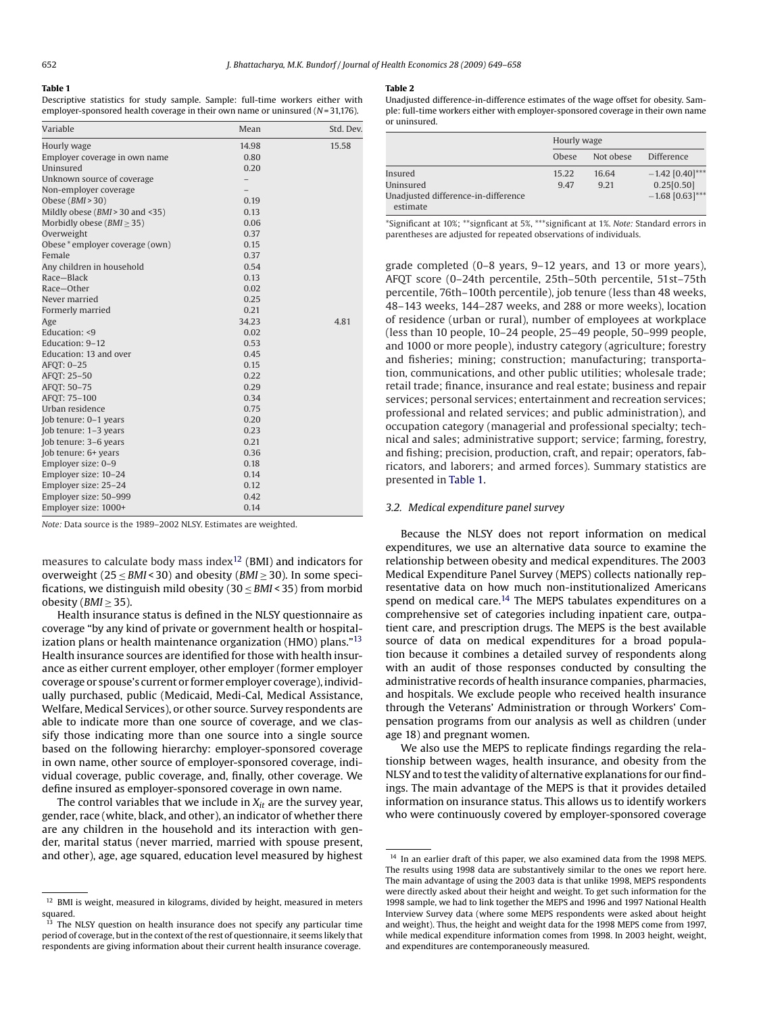<span id="page-3-0"></span>Descriptive statistics for study sample. Sample: full-time workers either with employer-sponsored health coverage in their own name or uninsured (*N* = 31,176).

| Variable                            | Mean  | Std. Dev. |
|-------------------------------------|-------|-----------|
| Hourly wage                         | 14.98 | 15.58     |
| Employer coverage in own name       | 0.80  |           |
| Uninsured                           | 0.20  |           |
| Unknown source of coverage          |       |           |
| Non-employer coverage               |       |           |
| Obese $(BMI > 30)$                  | 0.19  |           |
| Mildly obese $(BMI > 30$ and $<35)$ | 0.13  |           |
| Morbidly obese ( $BMI \geq 35$ )    | 0.06  |           |
| Overweight                          | 0.37  |           |
| Obese * employer coverage (own)     | 0.15  |           |
| Female                              | 0.37  |           |
| Any children in household           | 0.54  |           |
| Race-Black                          | 0.13  |           |
| Race-Other                          | 0.02  |           |
| Never married                       | 0.25  |           |
| Formerly married                    | 0.21  |           |
| Age                                 | 34.23 | 4.81      |
| Education: <9                       | 0.02  |           |
| Education: 9-12                     | 0.53  |           |
| Education: 13 and over              | 0.45  |           |
| AFOT: 0-25                          | 0.15  |           |
| AFOT: 25-50                         | 0.22  |           |
| AFOT: 50-75                         | 0.29  |           |
| AFOT: 75-100                        | 0.34  |           |
| Urban residence                     | 0.75  |           |
| Job tenure: 0-1 years               | 0.20  |           |
| Job tenure: 1-3 years               | 0.23  |           |
| Job tenure: 3-6 years               | 0.21  |           |
| Job tenure: 6+ years                | 0.36  |           |
| Employer size: 0-9                  | 0.18  |           |
| Employer size: 10-24                | 0.14  |           |
| Employer size: 25-24                | 0.12  |           |
| Employer size: 50-999               | 0.42  |           |
| Employer size: 1000+                | 0.14  |           |

*Note:* Data source is the 1989–2002 NLSY. Estimates are weighted.

measures to calculate body mass index12 (BMI) and indicators for overweight ( $25 \leq BMI < 30$ ) and obesity ( $BMI \geq 30$ ). In some specifications, we distinguish mild obesity (30 ≤ *BMI* < 35) from morbid obesity (*BMI* ≥ 35).

Health insurance status is defined in the NLSY questionnaire as coverage "by any kind of private or government health or hospitalization plans or health maintenance organization (HMO) plans."13 Health insurance sources are identified for those with health insurance as either current employer, other employer (former employer coverage or spouse's current or former employer coverage), individually purchased, public (Medicaid, Medi-Cal, Medical Assistance, Welfare, Medical Services), or other source. Survey respondents are able to indicate more than one source of coverage, and we classify those indicating more than one source into a single source based on the following hierarchy: employer-sponsored coverage in own name, other source of employer-sponsored coverage, individual coverage, public coverage, and, finally, other coverage. We define insured as employer-sponsored coverage in own name.

The control variables that we include in *Xit* are the survey year, gender, race (white, black, and other), an indicator of whether there are any children in the household and its interaction with gender, marital status (never married, married with spouse present, and other), age, age squared, education level measured by highest

#### **Table 2**

Unadjusted difference-in-difference estimates of the wage offset for obesity. Sample: full-time workers either with employer-sponsored coverage in their own name or uninsured.

|                                                                         | Hourly wage   |               |                                                      |
|-------------------------------------------------------------------------|---------------|---------------|------------------------------------------------------|
|                                                                         | Obese         | Not obese     | Difference                                           |
| Insured<br>Uninsured<br>Unadjusted difference-in-difference<br>estimate | 15.22<br>9.47 | 16.64<br>9.21 | $-1.42$ [0.40]***<br>0.25[0.50]<br>$-1.68$ [0.63]*** |

\*Significant at 10%; \*\*signficant at 5%, \*\*\*significant at 1%. *Note:* Standard errors in parentheses are adjusted for repeated observations of individuals.

grade completed (0–8 years, 9–12 years, and 13 or more years), AFQT score (0–24th percentile, 25th–50th percentile, 51st–75th percentile, 76th–100th percentile), job tenure (less than 48 weeks, 48–143 weeks, 144–287 weeks, and 288 or more weeks), location of residence (urban or rural), number of employees at workplace (less than 10 people, 10–24 people, 25–49 people, 50–999 people, and 1000 or more people), industry category (agriculture; forestry and fisheries; mining; construction; manufacturing; transportation, communications, and other public utilities; wholesale trade; retail trade; finance, insurance and real estate; business and repair services; personal services; entertainment and recreation services; professional and related services; and public administration), and occupation category (managerial and professional specialty; technical and sales; administrative support; service; farming, forestry, and fishing; precision, production, craft, and repair; operators, fabricators, and laborers; and armed forces). Summary statistics are presented in Table 1.

## *3.2. Medical expenditure panel survey*

Because the NLSY does not report information on medical expenditures, we use an alternative data source to examine the relationship between obesity and medical expenditures. The 2003 Medical Expenditure Panel Survey (MEPS) collects nationally representative data on how much non-institutionalized Americans spend on medical care.<sup>14</sup> The MEPS tabulates expenditures on a comprehensive set of categories including inpatient care, outpatient care, and prescription drugs. The MEPS is the best available source of data on medical expenditures for a broad population because it combines a detailed survey of respondents along with an audit of those responses conducted by consulting the administrative records of health insurance companies, pharmacies, and hospitals. We exclude people who received health insurance through the Veterans' Administration or through Workers' Compensation programs from our analysis as well as children (under age 18) and pregnant women.

We also use the MEPS to replicate findings regarding the relationship between wages, health insurance, and obesity from the NLSY and to test the validity of alternative explanations for our findings. The main advantage of the MEPS is that it provides detailed information on insurance status. This allows us to identify workers who were continuously covered by employer-sponsored coverage

<sup>&</sup>lt;sup>12</sup> BMI is weight, measured in kilograms, divided by height, measured in meters squared.

 $13$  The NLSY question on health insurance does not specify any particular time period of coverage, but in the context of the rest of questionnaire, it seems likely that respondents are giving information about their current health insurance coverage.

<sup>&</sup>lt;sup>14</sup> In an earlier draft of this paper, we also examined data from the 1998 MEPS. The results using 1998 data are substantively similar to the ones we report here. The main advantage of using the 2003 data is that unlike 1998, MEPS respondents were directly asked about their height and weight. To get such information for the 1998 sample, we had to link together the MEPS and 1996 and 1997 National Health Interview Survey data (where some MEPS respondents were asked about height and weight). Thus, the height and weight data for the 1998 MEPS come from 1997, while medical expenditure information comes from 1998. In 2003 height, weight, and expenditures are contemporaneously measured.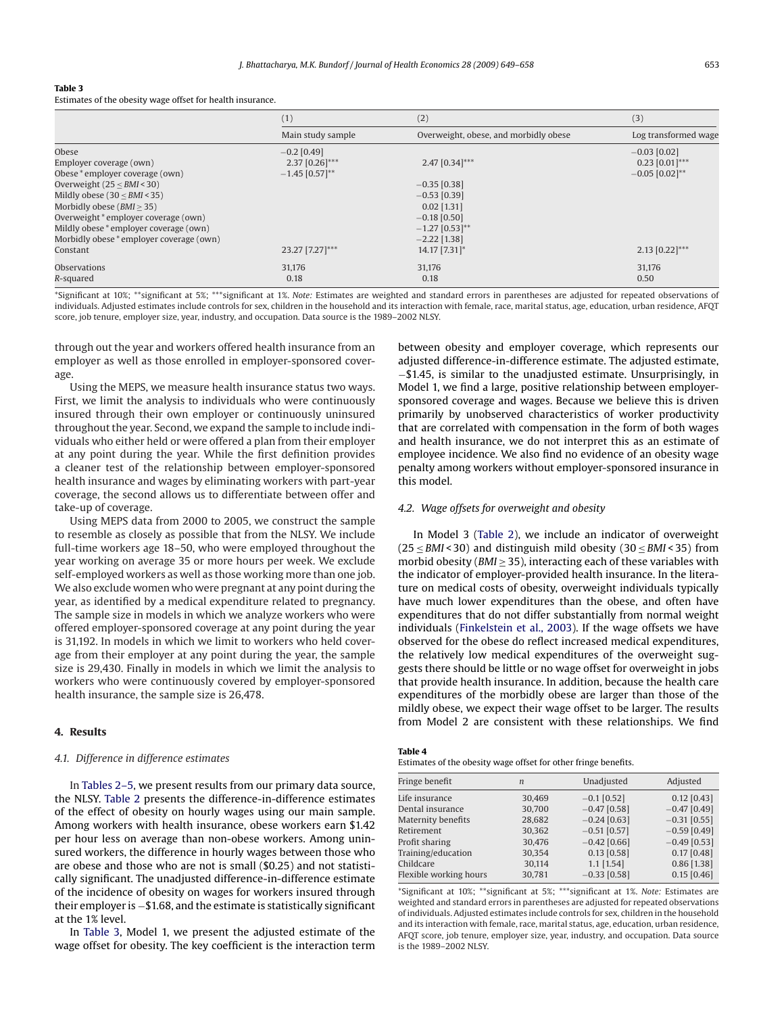<span id="page-4-0"></span>Estimates of the obesity wage offset for health insurance.

|                                          | (1)                          | (2)                                   | (3)                  |
|------------------------------------------|------------------------------|---------------------------------------|----------------------|
|                                          | Main study sample            | Overweight, obese, and morbidly obese | Log transformed wage |
| Obese                                    | $-0.2$ [0.49]                |                                       | $-0.03$ [0.02]       |
| Employer coverage (own)                  | $2.37$ [0.26]***             | $2.47$ [0.34]***                      | $0.23$ [0.01]***     |
| Obese * employer coverage (own)          | $-1.45$ [0.57] <sup>**</sup> |                                       | $-0.05$ [0.02]**     |
| Overweight $(25 \leq BMI < 30)$          |                              | $-0.35$ [0.38]                        |                      |
| Mildly obese $(30 \leq BMI \leq 35)$     |                              | $-0.53$ [0.39]                        |                      |
| Morbidly obese $(BMI > 35)$              |                              | $0.02$ [1.31]                         |                      |
| Overweight * employer coverage (own)     |                              | $-0.18$ [0.50]                        |                      |
| Mildly obese * employer coverage (own)   |                              | $-1.27$ [0.53]**                      |                      |
| Morbidly obese * employer coverage (own) |                              | $-2.22$ [1.38]                        |                      |
| Constant                                 | 23.27 [7.27]***              | 14.17 [7.31]*                         | $2.13$ [0.22]***     |
| Observations                             | 31,176                       | 31.176                                | 31,176               |
| R-squared                                | 0.18                         | 0.18                                  | 0.50                 |

\*Significant at 10%; \*\*significant at 5%; \*\*\*significant at 1%. *Note:* Estimates are weighted and standard errors in parentheses are adjusted for repeated observations of individuals. Adjusted estimates include controls for sex, children in the household and its interaction with female, race, marital status, age, education, urban residence, AFQT score, job tenure, employer size, year, industry, and occupation. Data source is the 1989–2002 NLSY.

through out the year and workers offered health insurance from an employer as well as those enrolled in employer-sponsored coverage.

Using the MEPS, we measure health insurance status two ways. First, we limit the analysis to individuals who were continuously insured through their own employer or continuously uninsured throughout the year. Second, we expand the sample to include individuals who either held or were offered a plan from their employer at any point during the year. While the first definition provides a cleaner test of the relationship between employer-sponsored health insurance and wages by eliminating workers with part-year coverage, the second allows us to differentiate between offer and take-up of coverage.

Using MEPS data from 2000 to 2005, we construct the sample to resemble as closely as possible that from the NLSY. We include full-time workers age 18–50, who were employed throughout the year working on average 35 or more hours per week. We exclude self-employed workers as well as those working more than one job. We also exclude women who were pregnant at any point during the year, as identified by a medical expenditure related to pregnancy. The sample size in models in which we analyze workers who were offered employer-sponsored coverage at any point during the year is 31,192. In models in which we limit to workers who held coverage from their employer at any point during the year, the sample size is 29,430. Finally in models in which we limit the analysis to workers who were continuously covered by employer-sponsored health insurance, the sample size is 26,478.

## **4. Results**

## *4.1. Difference in difference estimates*

In [Tables 2–5, w](#page-3-0)e present results from our primary data source, the NLSY. [Table 2](#page-3-0) presents the difference-in-difference estimates of the effect of obesity on hourly wages using our main sample. Among workers with health insurance, obese workers earn \$1.42 per hour less on average than non-obese workers. Among uninsured workers, the difference in hourly wages between those who are obese and those who are not is small (\$0.25) and not statistically significant. The unadjusted difference-in-difference estimate of the incidence of obesity on wages for workers insured through their employer is −\$1.68, and the estimate is statistically significant at the 1% level.

In Table 3, Model 1, we present the adjusted estimate of the wage offset for obesity. The key coefficient is the interaction term between obesity and employer coverage, which represents our adjusted difference-in-difference estimate. The adjusted estimate, −\$1.45, is similar to the unadjusted estimate. Unsurprisingly, in Model 1, we find a large, positive relationship between employersponsored coverage and wages. Because we believe this is driven primarily by unobserved characteristics of worker productivity that are correlated with compensation in the form of both wages and health insurance, we do not interpret this as an estimate of employee incidence. We also find no evidence of an obesity wage penalty among workers without employer-sponsored insurance in this model.

## *4.2. Wage offsets for overweight and obesity*

In Model 3 [\(Table 2\),](#page-3-0) we include an indicator of overweight (25 ≤ *BMI* < 30) and distinguish mild obesity (30 ≤ *BMI* < 35) from morbid obesity (*BMI* > 35), interacting each of these variables with the indicator of employer-provided health insurance. In the literature on medical costs of obesity, overweight individuals typically have much lower expenditures than the obese, and often have expenditures that do not differ substantially from normal weight individuals ([Finkelstein et al., 2003\).](#page-9-0) If the wage offsets we have observed for the obese do reflect increased medical expenditures, the relatively low medical expenditures of the overweight suggests there should be little or no wage offset for overweight in jobs that provide health insurance. In addition, because the health care expenditures of the morbidly obese are larger than those of the mildly obese, we expect their wage offset to be larger. The results from Model 2 are consistent with these relationships. We find

## **Table 4**

Estimates of the obesity wage offset for other fringe benefits.

| Fringe benefit         | $\boldsymbol{n}$ | Unadjusted     | Adjusted       |
|------------------------|------------------|----------------|----------------|
| Life insurance         | 30,469           | $-0.1$ [0.52]  | $0.12$ [0.43]  |
| Dental insurance       | 30,700           | $-0.47$ [0.58] | $-0.47$ [0.49] |
| Maternity benefits     | 28,682           | $-0.24$ [0.63] | $-0.31$ [0.55] |
| Retirement             | 30,362           | $-0.51$ [0.57] | $-0.59$ [0.49] |
| Profit sharing         | 30.476           | $-0.42$ [0.66] | $-0.49$ [0.53] |
| Training/education     | 30.354           | $0.13$ [0.58]  | $0.17$ [0.48]  |
| Childcare              | 30,114           | $1.1$ [1.54]   | $0.86$ [1.38]  |
| Flexible working hours | 30,781           | $-0.33$ [0.58] | $0.15$ [0.46]  |

\*Significant at 10%; \*\*significant at 5%; \*\*\*significant at 1%. *Note:* Estimates are weighted and standard errors in parentheses are adjusted for repeated observations of individuals. Adjusted estimates include controls for sex, children in the household and its interaction with female, race, marital status, age, education, urban residence, AFQT score, job tenure, employer size, year, industry, and occupation. Data source is the 1989–2002 NLSY.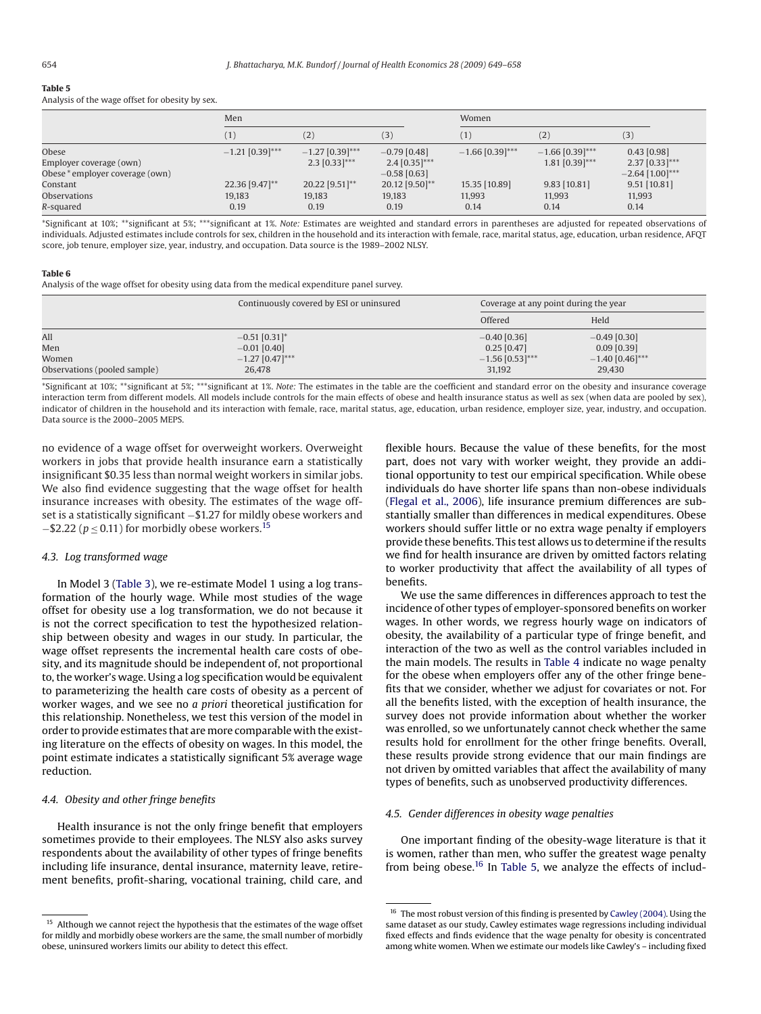<span id="page-5-0"></span>Analysis of the wage offset for obesity by sex.

|                                 | Men               |                   |                    | Women             |                   |                   |
|---------------------------------|-------------------|-------------------|--------------------|-------------------|-------------------|-------------------|
|                                 | (1)               | (2)               | (3)                | (1)               | (2)               | (3)               |
| Obese                           | $-1.21$ [0.39]*** | $-1.27$ [0.39]*** | $-0.79$ [0.48]     | $-1.66$ [0.39]*** | $-1.66$ [0.39]*** | $0.43$ [0.98]     |
| Employer coverage (own)         |                   | $2.3$ [0.33]***   | $2.4 [0.35]^{***}$ |                   | $1.81$ [0.39]***  | $2.37$ [0.33]***  |
| Obese * employer coverage (own) |                   |                   | $-0.58$ [0.63]     |                   |                   | $-2.64$ [1.00]*** |
| Constant                        | 22.36 [9.47]**    | 20.22 [9.51]**    | 20.12 [9.50]**     | 15.35 [10.89]     | $9.83$ [10.81]    | $9.51$ [10.81]    |
| <b>Observations</b>             | 19.183            | 19.183            | 19,183             | 11,993            | 11.993            | 11.993            |
| R-squared                       | 0.19              | 0.19              | 0.19               | 0.14              | 0.14              | 0.14              |

\*Significant at 10%; \*\*significant at 5%; \*\*\*significant at 1%. *Note:* Estimates are weighted and standard errors in parentheses are adjusted for repeated observations of individuals. Adjusted estimates include controls for sex, children in the household and its interaction with female, race, marital status, age, education, urban residence, AFQT score, job tenure, employer size, year, industry, and occupation. Data source is the 1989–2002 NLSY.

#### **Table 6**

Analysis of the wage offset for obesity using data from the medical expenditure panel survey.

|                              | Continuously covered by ESI or uninsured | Coverage at any point during the year |                   |
|------------------------------|------------------------------------------|---------------------------------------|-------------------|
|                              |                                          | Offered                               | Held              |
| All                          | $-0.51$ [0.31]*                          | $-0.40$ [0.36]                        | $-0.49$ [0.30]    |
| Men                          | $-0.01$ [0.40]                           | $0.25$ [0.47]                         | $0.09$ [0.39]     |
| Women                        | $-1.27$ [0.47]***                        | $-1.56$ [0.53]***                     | $-1.40$ [0.46]*** |
| Observations (pooled sample) | 26,478                                   | 31,192                                | 29,430            |

\*Significant at 10%; \*\*significant at 5%; \*\*\*significant at 1%. *Note:* The estimates in the table are the coefficient and standard error on the obesity and insurance coverage interaction term from different models. All models include controls for the main effects of obese and health insurance status as well as sex (when data are pooled by sex), indicator of children in the household and its interaction with female, race, marital status, age, education, urban residence, employer size, year, industry, and occupation. Data source is the 2000–2005 MEPS.

no evidence of a wage offset for overweight workers. Overweight workers in jobs that provide health insurance earn a statistically insignificant \$0.35 less than normal weight workers in similar jobs. We also find evidence suggesting that the wage offset for health insurance increases with obesity. The estimates of the wage offset is a statistically significant −\$1.27 for mildly obese workers and <sup>−</sup>\$2.22 (*<sup>p</sup>* <sup>≤</sup> 0.11) for morbidly obese workers.15

## *4.3. Log transformed wage*

In Model 3 ([Table 3\),](#page-4-0) we re-estimate Model 1 using a log transformation of the hourly wage. While most studies of the wage offset for obesity use a log transformation, we do not because it is not the correct specification to test the hypothesized relationship between obesity and wages in our study. In particular, the wage offset represents the incremental health care costs of obesity, and its magnitude should be independent of, not proportional to, the worker's wage. Using a log specification would be equivalent to parameterizing the health care costs of obesity as a percent of worker wages, and we see no *a priori* theoretical justification for this relationship. Nonetheless, we test this version of the model in order to provide estimates that are more comparable with the existing literature on the effects of obesity on wages. In this model, the point estimate indicates a statistically significant 5% average wage reduction.

## *4.4. Obesity and other fringe benefits*

Health insurance is not the only fringe benefit that employers sometimes provide to their employees. The NLSY also asks survey respondents about the availability of other types of fringe benefits including life insurance, dental insurance, maternity leave, retirement benefits, profit-sharing, vocational training, child care, and flexible hours. Because the value of these benefits, for the most part, does not vary with worker weight, they provide an additional opportunity to test our empirical specification. While obese individuals do have shorter life spans than non-obese individuals ([Flegal et al., 2006\),](#page-9-0) life insurance premium differences are substantially smaller than differences in medical expenditures. Obese workers should suffer little or no extra wage penalty if employers provide these benefits. This test allows us to determine if the results we find for health insurance are driven by omitted factors relating to worker productivity that affect the availability of all types of benefits.

We use the same differences in differences approach to test the incidence of other types of employer-sponsored benefits on worker wages. In other words, we regress hourly wage on indicators of obesity, the availability of a particular type of fringe benefit, and interaction of the two as well as the control variables included in the main models. The results in [Table 4](#page-4-0) indicate no wage penalty for the obese when employers offer any of the other fringe benefits that we consider, whether we adjust for covariates or not. For all the benefits listed, with the exception of health insurance, the survey does not provide information about whether the worker was enrolled, so we unfortunately cannot check whether the same results hold for enrollment for the other fringe benefits. Overall, these results provide strong evidence that our main findings are not driven by omitted variables that affect the availability of many types of benefits, such as unobserved productivity differences.

## *4.5. Gender differences in obesity wage penalties*

One important finding of the obesity-wage literature is that it is women, rather than men, who suffer the greatest wage penalty from being obese.<sup>16</sup> In Table 5, we analyze the effects of includ-

<sup>&</sup>lt;sup>15</sup> Although we cannot reject the hypothesis that the estimates of the wage offset for mildly and morbidly obese workers are the same, the small number of morbidly obese, uninsured workers limits our ability to detect this effect.

<sup>&</sup>lt;sup>16</sup> The most robust version of this finding is presented by [Cawley \(2004\). U](#page-9-0)sing the same dataset as our study, Cawley estimates wage regressions including individual fixed effects and finds evidence that the wage penalty for obesity is concentrated among white women. When we estimate our models like Cawley's – including fixed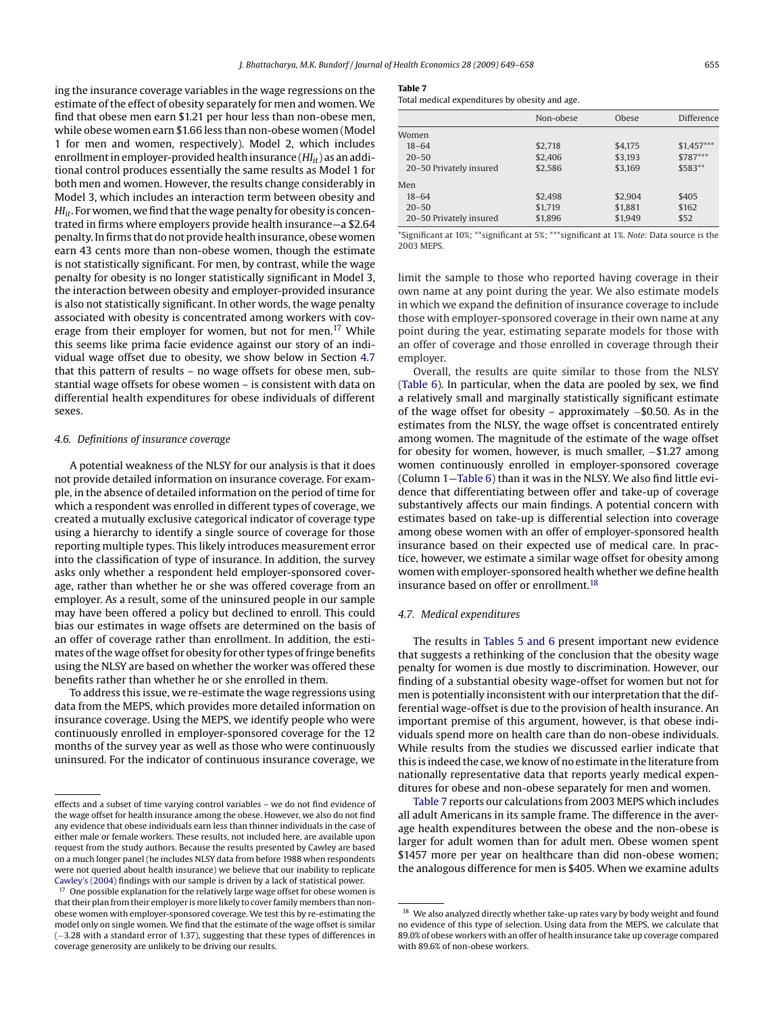<span id="page-6-0"></span>ing the insurance coverage variables in the wage regressions on the estimate of the effect of obesity separately for men and women. We find that obese men earn \$1.21 per hour less than non-obese men, while obese women earn \$1.66 less than non-obese women (Model 1 for men and women, respectively). Model 2, which includes enrollment in employer-provided health insurance (HI<sub>it</sub>) as an additional control produces essentially the same results as Model 1 for both men and women. However, the results change considerably in Model 3, which includes an interaction term between obesity and *HIit*. For women, we find that the wage penalty for obesity is concentrated in firms where employers provide health insurance—a \$2.64 penalty. In firms that do not provide health insurance, obese women earn 43 cents more than non-obese women, though the estimate is not statistically significant. For men, by contrast, while the wage penalty for obesity is no longer statistically significant in Model 3, the interaction between obesity and employer-provided insurance is also not statistically significant. In other words, the wage penalty associated with obesity is concentrated among workers with coverage from their employer for women, but not for men.<sup>17</sup> While this seems like prima facie evidence against our story of an individual wage offset due to obesity, we show below in Section 4.7 that this pattern of results – no wage offsets for obese men, substantial wage offsets for obese women – is consistent with data on differential health expenditures for obese individuals of different sexes.

## *4.6. Definitions of insurance coverage*

A potential weakness of the NLSY for our analysis is that it does not provide detailed information on insurance coverage. For example, in the absence of detailed information on the period of time for which a respondent was enrolled in different types of coverage, we created a mutually exclusive categorical indicator of coverage type using a hierarchy to identify a single source of coverage for those reporting multiple types. This likely introduces measurement error into the classification of type of insurance. In addition, the survey asks only whether a respondent held employer-sponsored coverage, rather than whether he or she was offered coverage from an employer. As a result, some of the uninsured people in our sample may have been offered a policy but declined to enroll. This could bias our estimates in wage offsets are determined on the basis of an offer of coverage rather than enrollment. In addition, the estimates of the wage offset for obesity for other types of fringe benefits using the NLSY are based on whether the worker was offered these benefits rather than whether he or she enrolled in them.

To address this issue, we re-estimate the wage regressions using data from the MEPS, which provides more detailed information on insurance coverage. Using the MEPS, we identify people who were continuously enrolled in employer-sponsored coverage for the 12 months of the survey year as well as those who were continuously uninsured. For the indicator of continuous insurance coverage, we

#### **Table 7**

Total medical expenditures by obesity and age.

|                         | Non-obese | Obese   | Difference  |
|-------------------------|-----------|---------|-------------|
| Women                   |           |         |             |
| $18 - 64$               | \$2,718   | \$4.175 | $$1,457***$ |
| $20 - 50$               | \$2,406   | \$3.193 | $$787***$   |
| 20-50 Privately insured | \$2.586   | \$3.169 | \$583**     |
| Men                     |           |         |             |
| $18 - 64$               | \$2.498   | \$2.904 | \$405       |
| $20 - 50$               | \$1,719   | \$1,881 | \$162       |
| 20-50 Privately insured | \$1.896   | \$1.949 | \$52        |

\*Significant at 10%; \*\*significant at 5%; \*\*\*significant at 1%. *Note:* Data source is the 2003 MEPS.

limit the sample to those who reported having coverage in their own name at any point during the year. We also estimate models in which we expand the definition of insurance coverage to include those with employer-sponsored coverage in their own name at any point during the year, estimating separate models for those with an offer of coverage and those enrolled in coverage through their employer.

Overall, the results are quite similar to those from the NLSY ([Table 6\).](#page-5-0) In particular, when the data are pooled by sex, we find a relatively small and marginally statistically significant estimate of the wage offset for obesity – approximately −\$0.50. As in the estimates from the NLSY, the wage offset is concentrated entirely among women. The magnitude of the estimate of the wage offset for obesity for women, however, is much smaller, −\$1.27 among women continuously enrolled in employer-sponsored coverage (Column 1[—Table 6\) t](#page-5-0)han it was in the NLSY. We also find little evidence that differentiating between offer and take-up of coverage substantively affects our main findings. A potential concern with estimates based on take-up is differential selection into coverage among obese women with an offer of employer-sponsored health insurance based on their expected use of medical care. In practice, however, we estimate a similar wage offset for obesity among women with employer-sponsored health whether we define health insurance based on offer or enrollment.<sup>18</sup>

## *4.7. Medical expenditures*

The results in [Tables 5 and 6](#page-5-0) present important new evidence that suggests a rethinking of the conclusion that the obesity wage penalty for women is due mostly to discrimination. However, our finding of a substantial obesity wage-offset for women but not for men is potentially inconsistent with our interpretation that the differential wage-offset is due to the provision of health insurance. An important premise of this argument, however, is that obese individuals spend more on health care than do non-obese individuals. While results from the studies we discussed earlier indicate that this is indeed the case, we know of no estimate in the literature from nationally representative data that reports yearly medical expenditures for obese and non-obese separately for men and women.

Table 7 reports our calculations from 2003 MEPS which includes all adult Americans in its sample frame. The difference in the average health expenditures between the obese and the non-obese is larger for adult women than for adult men. Obese women spent \$1457 more per year on healthcare than did non-obese women; the analogous difference for men is \$405. When we examine adults

effects and a subset of time varying control variables – we do not find evidence of the wage offset for health insurance among the obese. However, we also do not find any evidence that obese individuals earn less than thinner individuals in the case of either male or female workers. These results, not included here, are available upon request from the study authors. Because the results presented by Cawley are based on a much longer panel (he includes NLSY data from before 1988 when respondents were not queried about health insurance) we believe that our inability to replicate [Cawley's \(2004\)](#page-9-0) findings with our sample is driven by a lack of statistical power.

One possible explanation for the relatively large wage offset for obese women is that their plan from their employer is more likely to cover family members than nonobese women with employer-sponsored coverage. We test this by re-estimating the model only on single women. We find that the estimate of the wage offset is similar (−3.28 with a standard error of 1.37), suggesting that these types of differences in coverage generosity are unlikely to be driving our results.

<sup>&</sup>lt;sup>18</sup> We also analyzed directly whether take-up rates vary by body weight and found no evidence of this type of selection. Using data from the MEPS, we calculate that 89.0% of obese workers with an offer of health insurance take up coverage compared with 89.6% of non-obese workers.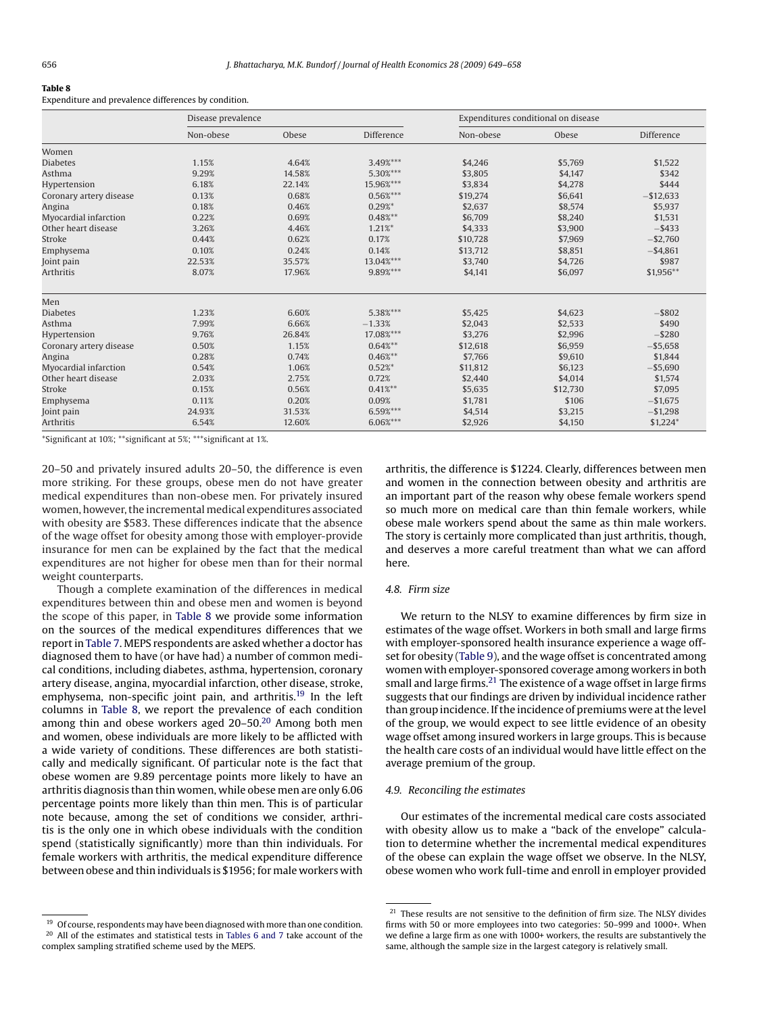Expenditure and prevalence differences by condition.

|                         | Disease prevalence |        |              | Expenditures conditional on disease |          |              |
|-------------------------|--------------------|--------|--------------|-------------------------------------|----------|--------------|
|                         | Non-obese          | Obese  | Difference   | Non-obese                           | Obese    | Difference   |
| Women                   |                    |        |              |                                     |          |              |
| <b>Diabetes</b>         | 1.15%              | 4.64%  | 3.49%***     | \$4,246                             | \$5,769  | \$1,522      |
| Asthma                  | 9.29%              | 14.58% | 5.30%***     | \$3,805                             | \$4,147  | \$342        |
| Hypertension            | 6.18%              | 22.14% | 15.96%***    | \$3,834                             | \$4,278  | \$444        |
| Coronary artery disease | 0.13%              | 0.68%  | $0.56%***$   | \$19,274                            | \$6,641  | $-$ \$12,633 |
| Angina                  | 0.18%              | 0.46%  | 0.29%        | \$2,637                             | \$8,574  | \$5,937      |
| Myocardial infarction   | 0.22%              | 0.69%  | $0.48%$ **   | \$6,709                             | \$8,240  | \$1,531      |
| Other heart disease     | 3.26%              | 4.46%  | 1.21%        | \$4,333                             | \$3,900  | $-$ \$433    |
| Stroke                  | 0.44%              | 0.62%  | 0.17%        | \$10,728                            | \$7,969  | $-$ \$2,760  |
| Emphysema               | 0.10%              | 0.24%  | 0.14%        | \$13,712                            | \$8,851  | $-$ \$4,861  |
| Joint pain              | 22.53%             | 35.57% | 13.04%***    | \$3,740                             | \$4,726  | \$987        |
| <b>Arthritis</b>        | 8.07%              | 17.96% | 9.89%***     | \$4,141                             | \$6,097  | $$1,956**$   |
| Men                     |                    |        |              |                                     |          |              |
| <b>Diabetes</b>         | 1.23%              | 6.60%  | 5.38%***     | \$5,425                             | \$4,623  | $-$ \$802    |
| Asthma                  | 7.99%              | 6.66%  | $-1.33%$     | \$2,043                             | \$2,533  | \$490        |
| Hypertension            | 9.76%              | 26.84% | 17.08%***    | \$3,276                             | \$2,996  | $-$ \$280    |
| Coronary artery disease | 0.50%              | 1.15%  | $0.64%^{**}$ | \$12,618                            | \$6,959  | $-$ \$5,658  |
| Angina                  | 0.28%              | 0.74%  | $0.46%$ **   | \$7,766                             | \$9,610  | \$1,844      |
| Myocardial infarction   | 0.54%              | 1.06%  | 0.52%        | \$11,812                            | \$6,123  | $-$ \$5,690  |
| Other heart disease     | 2.03%              | 2.75%  | 0.72%        | \$2,440                             | \$4,014  | \$1,574      |
| Stroke                  | 0.15%              | 0.56%  | $0.41%$ **   | \$5,635                             | \$12,730 | \$7,095      |
| Emphysema               | 0.11%              | 0.20%  | 0.09%        | \$1,781                             | \$106    | $-$1,675$    |
| Joint pain              | 24.93%             | 31.53% | 6.59%***     | \$4,514                             | \$3,215  | $-$1,298$    |
| Arthritis               | 6.54%              | 12.60% | $6.06%***$   | \$2,926                             | \$4,150  | $$1,224$ *   |

\*Significant at 10%; \*\*significant at 5%; \*\*\*significant at 1%.

20–50 and privately insured adults 20–50, the difference is even more striking. For these groups, obese men do not have greater medical expenditures than non-obese men. For privately insured women, however, the incremental medical expenditures associated with obesity are \$583. These differences indicate that the absence of the wage offset for obesity among those with employer-provide insurance for men can be explained by the fact that the medical expenditures are not higher for obese men than for their normal weight counterparts.

Though a complete examination of the differences in medical expenditures between thin and obese men and women is beyond the scope of this paper, in Table 8 we provide some information on the sources of the medical expenditures differences that we report in [Table 7. M](#page-6-0)EPS respondents are asked whether a doctor has diagnosed them to have (or have had) a number of common medical conditions, including diabetes, asthma, hypertension, coronary artery disease, angina, myocardial infarction, other disease, stroke, emphysema, non-specific joint pain, and arthritis.<sup>19</sup> In the left columns in Table 8, we report the prevalence of each condition among thin and obese workers aged  $20-50$ .<sup>20</sup> Among both men and women, obese individuals are more likely to be afflicted with a wide variety of conditions. These differences are both statistically and medically significant. Of particular note is the fact that obese women are 9.89 percentage points more likely to have an arthritis diagnosis than thin women, while obese men are only 6.06 percentage points more likely than thin men. This is of particular note because, among the set of conditions we consider, arthritis is the only one in which obese individuals with the condition spend (statistically significantly) more than thin individuals. For female workers with arthritis, the medical expenditure difference between obese and thin individuals is \$1956; for male workers with arthritis, the difference is \$1224. Clearly, differences between men and women in the connection between obesity and arthritis are an important part of the reason why obese female workers spend so much more on medical care than thin female workers, while obese male workers spend about the same as thin male workers. The story is certainly more complicated than just arthritis, though, and deserves a more careful treatment than what we can afford here.

## *4.8. Firm size*

We return to the NLSY to examine differences by firm size in estimates of the wage offset. Workers in both small and large firms with employer-sponsored health insurance experience a wage offset for obesity ([Table 9\),](#page-8-0) and the wage offset is concentrated among women with employer-sponsored coverage among workers in both small and large firms.<sup>21</sup> The existence of a wage offset in large firms suggests that our findings are driven by individual incidence rather than group incidence. If the incidence of premiums were at the level of the group, we would expect to see little evidence of an obesity wage offset among insured workers in large groups. This is because the health care costs of an individual would have little effect on the average premium of the group.

## *4.9. Reconciling the estimates*

Our estimates of the incremental medical care costs associated with obesity allow us to make a "back of the envelope" calculation to determine whether the incremental medical expenditures of the obese can explain the wage offset we observe. In the NLSY, obese women who work full-time and enroll in employer provided

<sup>&</sup>lt;sup>19</sup> Of course, respondents may have been diagnosed with more than one condition. <sup>20</sup> All of the estimates and statistical tests in [Tables 6 and 7](#page-5-0) take account of the complex sampling stratified scheme used by the MEPS.

 $21$  These results are not sensitive to the definition of firm size. The NLSY divides firms with 50 or more employees into two categories: 50–999 and 1000+. When we define a large firm as one with 1000+ workers, the results are substantively the same, although the sample size in the largest category is relatively small.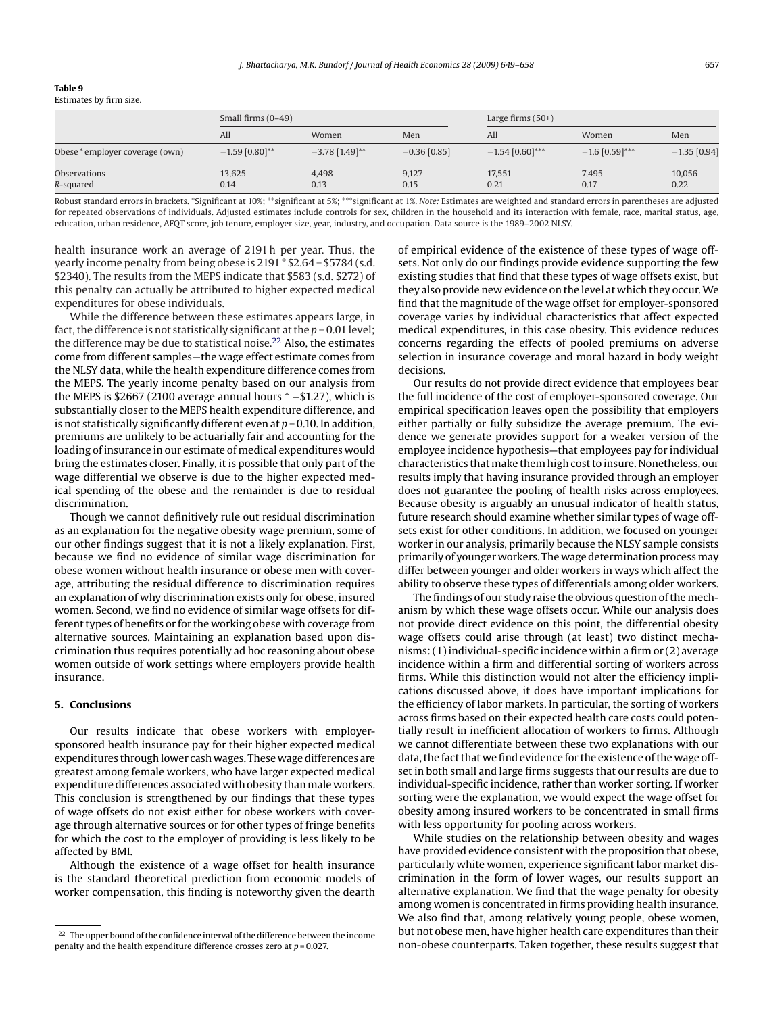<span id="page-8-0"></span>

| Table 9                |  |  |
|------------------------|--|--|
| Estimates by firm size |  |  |

|                                 | Small firms $(0-49)$ |                  |                | Large firms $(50+)$ |                  |                |
|---------------------------------|----------------------|------------------|----------------|---------------------|------------------|----------------|
|                                 | All                  | Women            | Men            | All                 | Women            | Men            |
| Obese * employer coverage (own) | $-1.59$ [0.80]**     | $-3.78$ [1.49]** | $-0.36$ [0.85] | $-1.54$ [0.60]***   | $-1.6$ [0.59]*** | $-1.35$ [0.94] |
| Observations<br>R-squared       | 13.625<br>0.14       | 4.498<br>0.13    | 9.127<br>0.15  | 17.551<br>0.21      | 7,495<br>0.17    | 10,056<br>0.22 |

Robust standard errors in brackets. \*Significant at 10%; \*\*significant at 5%; \*\*\*significant at 1%. *Note:* Estimates are weighted and standard errors in parentheses are adjusted for repeated observations of individuals. Adjusted estimates include controls for sex, children in the household and its interaction with female, race, marital status, age, education, urban residence, AFQT score, job tenure, employer size, year, industry, and occupation. Data source is the 1989–2002 NLSY.

health insurance work an average of 2191 h per year. Thus, the yearly income penalty from being obese is 2191 \* \$2.64 = \$5784 (s.d. \$2340). The results from the MEPS indicate that \$583 (s.d. \$272) of this penalty can actually be attributed to higher expected medical expenditures for obese individuals.

While the difference between these estimates appears large, in fact, the difference is not statistically significant at the *p* = 0.01 level; the difference may be due to statistical noise.<sup>22</sup> Also, the estimates come from different samples—the wage effect estimate comes from the NLSY data, while the health expenditure difference comes from the MEPS. The yearly income penalty based on our analysis from the MEPS is \$2667 (2100 average annual hours \* −\$1.27), which is substantially closer to the MEPS health expenditure difference, and is not statistically significantly different even at *p* = 0.10. In addition, premiums are unlikely to be actuarially fair and accounting for the loading of insurance in our estimate of medical expenditures would bring the estimates closer. Finally, it is possible that only part of the wage differential we observe is due to the higher expected medical spending of the obese and the remainder is due to residual discrimination.

Though we cannot definitively rule out residual discrimination as an explanation for the negative obesity wage premium, some of our other findings suggest that it is not a likely explanation. First, because we find no evidence of similar wage discrimination for obese women without health insurance or obese men with coverage, attributing the residual difference to discrimination requires an explanation of why discrimination exists only for obese, insured women. Second, we find no evidence of similar wage offsets for different types of benefits or for the working obese with coverage from alternative sources. Maintaining an explanation based upon discrimination thus requires potentially ad hoc reasoning about obese women outside of work settings where employers provide health insurance.

## **5. Conclusions**

Our results indicate that obese workers with employersponsored health insurance pay for their higher expected medical expenditures through lower cash wages. These wage differences are greatest among female workers, who have larger expected medical expenditure differences associated with obesity than male workers. This conclusion is strengthened by our findings that these types of wage offsets do not exist either for obese workers with coverage through alternative sources or for other types of fringe benefits for which the cost to the employer of providing is less likely to be affected by BMI.

Although the existence of a wage offset for health insurance is the standard theoretical prediction from economic models of worker compensation, this finding is noteworthy given the dearth

of empirical evidence of the existence of these types of wage offsets. Not only do our findings provide evidence supporting the few existing studies that find that these types of wage offsets exist, but they also provide new evidence on the level at which they occur.We find that the magnitude of the wage offset for employer-sponsored coverage varies by individual characteristics that affect expected medical expenditures, in this case obesity. This evidence reduces concerns regarding the effects of pooled premiums on adverse selection in insurance coverage and moral hazard in body weight decisions.

Our results do not provide direct evidence that employees bear the full incidence of the cost of employer-sponsored coverage. Our empirical specification leaves open the possibility that employers either partially or fully subsidize the average premium. The evidence we generate provides support for a weaker version of the employee incidence hypothesis—that employees pay for individual characteristics that make them high cost to insure. Nonetheless, our results imply that having insurance provided through an employer does not guarantee the pooling of health risks across employees. Because obesity is arguably an unusual indicator of health status, future research should examine whether similar types of wage offsets exist for other conditions. In addition, we focused on younger worker in our analysis, primarily because the NLSY sample consists primarily of younger workers. The wage determination processmay differ between younger and older workers in ways which affect the ability to observe these types of differentials among older workers.

The findings of our study raise the obvious question of the mechanism by which these wage offsets occur. While our analysis does not provide direct evidence on this point, the differential obesity wage offsets could arise through (at least) two distinct mechanisms: (1) individual-specific incidence within a firm or (2) average incidence within a firm and differential sorting of workers across firms. While this distinction would not alter the efficiency implications discussed above, it does have important implications for the efficiency of labor markets. In particular, the sorting of workers across firms based on their expected health care costs could potentially result in inefficient allocation of workers to firms. Although we cannot differentiate between these two explanations with our data, the fact that we find evidence for the existence of the wage offset in both small and large firms suggests that our results are due to individual-specific incidence, rather than worker sorting. If worker sorting were the explanation, we would expect the wage offset for obesity among insured workers to be concentrated in small firms with less opportunity for pooling across workers.

While studies on the relationship between obesity and wages have provided evidence consistent with the proposition that obese, particularly white women, experience significant labor market discrimination in the form of lower wages, our results support an alternative explanation. We find that the wage penalty for obesity among women is concentrated in firms providing health insurance. We also find that, among relatively young people, obese women, but not obese men, have higher health care expenditures than their non-obese counterparts. Taken together, these results suggest that

 $^{22}\,$  The upper bound of the confidence interval of the difference between the income penalty and the health expenditure difference crosses zero at *p* = 0.027.